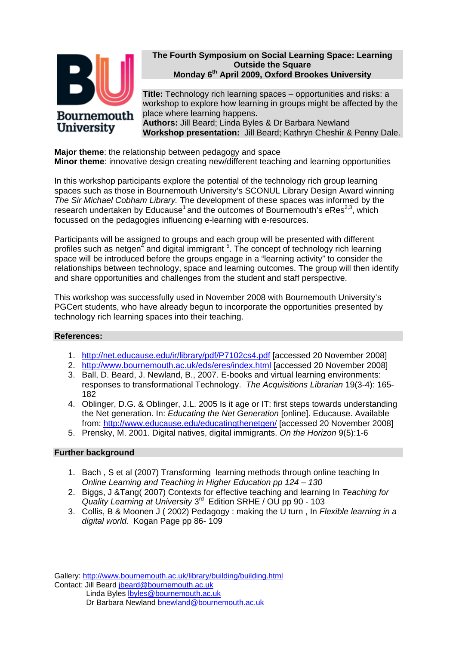

### **The Fourth Symposium on Social Learning Space: Learning Outside the Square Monday 6th April 2009, Oxford Brookes University**

**Title:** Technology rich learning spaces – opportunities and risks: a workshop to explore how learning in groups might be affected by the place where learning happens. **Authors:** Jill Beard; Linda Byles & Dr Barbara Newland **Workshop presentation:** Jill Beard; Kathryn Cheshir & Penny Dale.

**Major theme**: the relationship between pedagogy and space **Minor theme**: innovative design creating new/different teaching and learning opportunities

In this workshop participants explore the potential of the technology rich group learning spaces such as those in Bournemouth University's SCONUL Library Design Award winning *The Sir Michael Cobham Library.* The development of these spaces was informed by the research undertaken by Educause<sup>1</sup> and the outcomes of Bournemouth's eRes<sup>2,3</sup>, which focussed on the pedagogies influencing e-learning with e-resources.

Participants will be assigned to groups and each group will be presented with different profiles such as netgen<sup>4</sup> and digital immigrant <sup>5</sup>. The concept of technology rich learning space will be introduced before the groups engage in a "learning activity" to consider the relationships between technology, space and learning outcomes. The group will then identify and share opportunities and challenges from the student and staff perspective.

This workshop was successfully used in November 2008 with Bournemouth University's PGCert students, who have already begun to incorporate the opportunities presented by technology rich learning spaces into their teaching.

### **References:**

- 1. http://net.educause.edu/ir/library/pdf/P7102cs4.pdf [accessed 20 November 2008]
- 2. http://www.bournemouth.ac.uk/eds/eres/index.html [accessed 20 November 2008]
- 3. Ball, D. Beard, J. Newland, B., 2007. E-books and virtual learning environments: responses to transformational Technology. *The Acquisitions Librarian* 19(3-4): 165- 182
- 4. Oblinger, D.G. & Oblinger, J.L. 2005 Is it age or IT: first steps towards understanding the Net generation. In: *Educating the Net Generation* [online]. Educause. Available from: http://www.educause.edu/educatingthenetgen/ [accessed 20 November 2008]
- 5. Prensky, M. 2001. Digital natives, digital immigrants. *On the Horizon* 9(5):1-6

### **Further background**

- 1. Bach , S et al (2007) Transforming learning methods through online teaching In *Online Learning and Teaching in Higher Education pp 124 – 130*
- 2. Biggs, J &Tang( 2007) Contexts for effective teaching and learning In *Teaching for Quality Learning at University* 3rd Edition SRHE / OU pp 90 - 103
- 3. Collis, B & Moonen J ( 2002) Pedagogy : making the U turn , In *Flexible learning in a digital world.* Kogan Page pp 86- 109